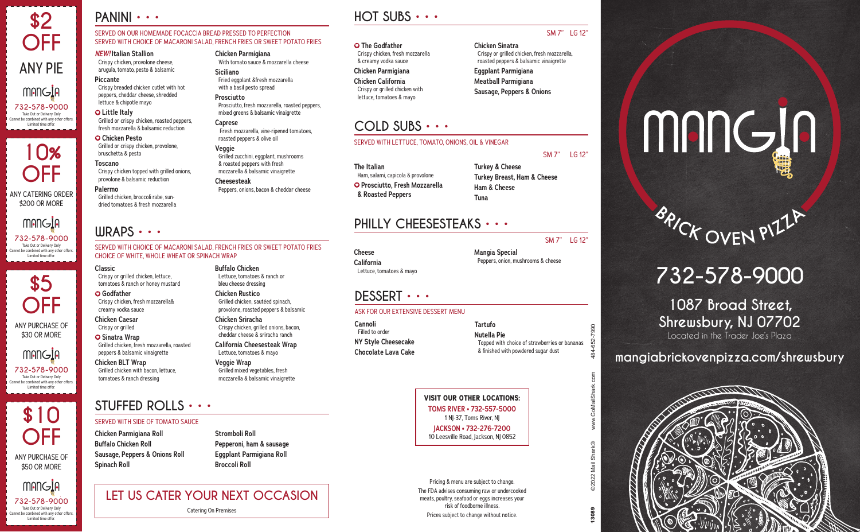# **PANINI • • •**

#### SERVED ON OUR HOMEMADE FOCACCIA BREAD PRESSED TO PERFECTION SERVED WITH CHOICE OF MACARONI SALAD, FRENCH FRIES OR SWEET POTATO FRIES

**Chicken Parmigiana**

**Siciliano**

**Prosciutto**

**Caprese**

**Veggie**

**Cheesesteak**

With tomato sauce & mozzarella cheese

Prosciutto, fresh mozzarella, roasted peppers, mixed greens & balsamic vinaigrette

Fresh mozzarella, vine-ripened tomatoes,

Grilled zucchini, eggplant, mushrooms & roasted peppers with fresh mozzarella & balsamic vinaigrette

Peppers, onions, bacon & cheddar cheese

roasted peppers & olive oil

Fried eggplant &fresh mozzarella with a basil pesto spread

#### *NEW!* **Italian Stallion** Crispy chicken, provolone cheese,

arugula, tomato, pesto & balsamic **Piccante**

Crispy breaded chicken cutlet with hot peppers, cheddar cheese, shredded lettuce & chipotle mayo

#### **Little Italy** Grilled or crispy chicken, roasted peppers, fresh mozzarella & balsamic reduction

 **Chicken Pesto** Grilled or crispy chicken, provolone, bruschetta & pesto

**Toscano** Crispy chicken topped with grilled onions, provolone & balsamic reduction

**Palermo** Grilled chicken, broccoli rabe, sun-

dried tomatoes & fresh mozzarella

# **WRAPS • • •**

#### SERVED WITH CHOICE OF MACARONI SALAD, FRENCH FRIES OR SWEET POTATO FRIES CHOICE OF WHITE, WHOLE WHEAT OR SPINACH WRAP

#### **Classic**

Crispy or grilled chicken, lettuce, tomatoes & ranch or honey mustard

 **Godfather** Crispy chicken, fresh mozzarella& creamy vodka sauce

**Chicken Caesar** Crispy or grilled

 **Sinatra Wrap** Grilled chicken, fresh mozzarella, roasted peppers & balsamic vinaigrette

**Chicken BLT Wrap** Grilled chicken with bacon, lettuce, tomatoes & ranch dressing

#### **Buffalo Chicken** Lettuce, tomatoes & ranch or bleu cheese dressing

**Chicken Rustico** Grilled chicken, sautéed spinach, provolone, roasted peppers & balsamic

**Chicken Sriracha** Crispy chicken, grilled onions, bacon, cheddar cheese & sriracha ranch

**California Cheesesteak Wrap** Lettuce, tomatoes & mayo

**Veggie Wrap** Grilled mixed vegetables, fresh mozzarella & balsamic vinaigrette

# **HOT SUBS • • •**

#### **The Godfather** Crispy chicken, fresh mozzarella & creamy vodka sauce **Chicken Parmigiana Chicken California** Crispy or grilled chicken with lettuce, tomatoes & mayo

**COLD SUBS • • •**

## SM 7" LG 12"

**Chicken Sinatra** Crispy or grilled chicken, fresh mozzarella, roasted peppers & balsamic vinaigrette **Eggplant Parmigiana Meatball Parmigiana Sausage, Peppers & Onions**

#### SM 7" LG 12"

SM 7" LG 12"

7990  $-652 -$ 484-

**The Italian** Ham, salami, capicola & provolone  **Prosciutto, Fresh Mozzarella & Roasted Peppers**

**Turkey & Cheese Turkey Breast, Ham & Cheese Ham & Cheese Tuna**

# **PHILLY CHEESESTEAKS • • •**

SERVED WITH LETTUCE, TOMATO, ONIONS, OIL & VINEGAR

**Cheese California** Lettuce, tomatoes & mayo

Peppers, onion, mushrooms & cheese

## **DESSERT • • •**

#### ASK FOR OUR EXTENSIVE DESSERT MENU

**Cannoli** Filled to order **NY Style Cheesecake Chocolate Lava Cake** **Tartufo Nutella Pie** Topped with choice of strawberries or bananas & finished with powdered sugar dust

**VISIT OUR OTHER LOCATIONS: TOMS RIVER • 732-557-5000**  1 NJ-37, Toms River, NJ **JACKSON • 732-276-7200** 10 Leesville Road, Jackson, NJ 0852

Pricing & menu are subject to change. The FDA advises consuming raw or undercooked meats, poultry, seafood or eggs increases your risk of foodborne illness. Prices subject to change without notice.

# mangin

# BAICK OVEN PIIIP

# **732-578-9000**

**1087 Broad Street, Shrewsbury, NJ 07702** Located in the Trader Joe's Plaza

# **mangiabrickovenpizza.com/shrewsbury**



**STUFFED ROLLS • • •**

#### SERVED WITH SIDE OF TOMATO SAUCE

**Chicken Parmigiana Roll Buffalo Chicken Roll Sausage, Peppers & Onions Roll Spinach Roll**

**Stromboli Roll Pepperoni, ham & sausage Eggplant Parmigiana Roll Broccoli Roll**

**LET US CATER YOUR NEXT OCCASION** Catering On Premises

**Mangia Special**